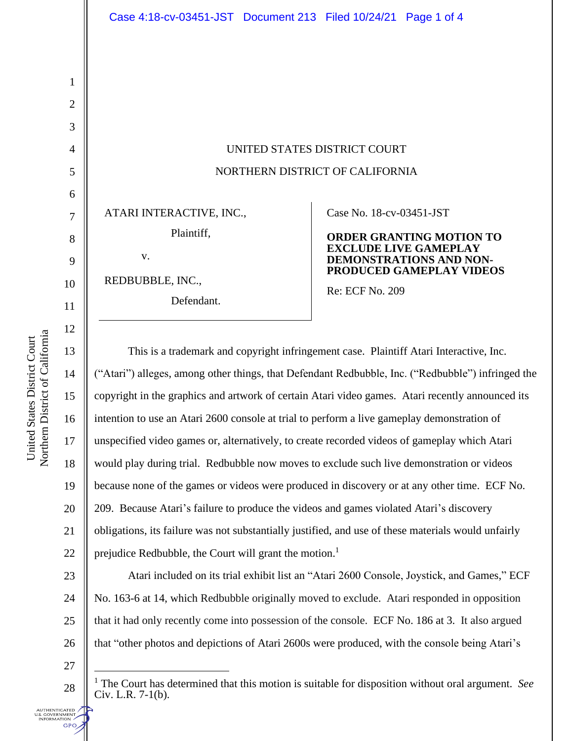UNITED STATES DISTRICT COURT NORTHERN DISTRICT OF CALIFORNIA

ATARI INTERACTIVE, INC.,

Plaintiff,

v.

REDBUBBLE, INC.,

Defendant.

Case No. 18-cv-03451-JST

## **ORDER GRANTING MOTION TO EXCLUDE LIVE GAMEPLAY DEMONSTRATIONS AND NON-PRODUCED GAMEPLAY VIDEOS**

Re: ECF No. 209

This is a trademark and copyright infringement case. Plaintiff Atari Interactive, Inc. ("Atari") alleges, among other things, that Defendant Redbubble, Inc. ("Redbubble") infringed the copyright in the graphics and artwork of certain Atari video games. Atari recently announced its intention to use an Atari 2600 console at trial to perform a live gameplay demonstration of unspecified video games or, alternatively, to create recorded videos of gameplay which Atari would play during trial. Redbubble now moves to exclude such live demonstration or videos because none of the games or videos were produced in discovery or at any other time. ECF No. 209. Because Atari's failure to produce the videos and games violated Atari's discovery obligations, its failure was not substantially justified, and use of these materials would unfairly prejudice Redbubble, the Court will grant the motion.<sup>1</sup>

Atari included on its trial exhibit list an "Atari 2600 Console, Joystick, and Games," ECF No. 163-6 at 14, which Redbubble originally moved to exclude. Atari responded in opposition that it had only recently come into possession of the console. ECF No. 186 at 3. It also argued that "other photos and depictions of Atari 2600s were produced, with the console being Atari's

27

28

**UTHENTICATED** .S. GOVERNMENT<br>INFORMATION **GPO**  <sup>1</sup> The Court has determined that this motion is suitable for disposition without oral argument. *See*  Civ. L.R. 7-1(b).

1

2

3

4

5

6

7

8

9

10

11

12

13

14

15

16

17

18

19

20

21

22

23

24

25

26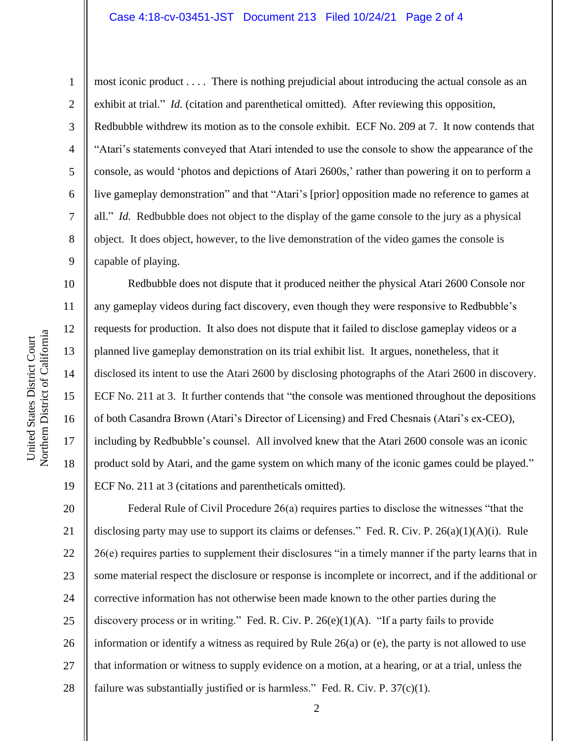## Case 4:18-cv-03451-JST Document 213 Filed 10/24/21 Page 2 of 4

Northern District of California Northern District of California United States District Court United States District Court

1

2

3

4

5

6

7

8

9

10

11

12

13

14

15

16

17

18

19

most iconic product . . . . There is nothing prejudicial about introducing the actual console as an exhibit at trial." *Id.* (citation and parenthetical omitted). After reviewing this opposition, Redbubble withdrew its motion as to the console exhibit. ECF No. 209 at 7. It now contends that "Atari's statements conveyed that Atari intended to use the console to show the appearance of the console, as would 'photos and depictions of Atari 2600s,' rather than powering it on to perform a live gameplay demonstration" and that "Atari's [prior] opposition made no reference to games at all." *Id.* Redbubble does not object to the display of the game console to the jury as a physical object. It does object, however, to the live demonstration of the video games the console is capable of playing.

Redbubble does not dispute that it produced neither the physical Atari 2600 Console nor any gameplay videos during fact discovery, even though they were responsive to Redbubble's requests for production. It also does not dispute that it failed to disclose gameplay videos or a planned live gameplay demonstration on its trial exhibit list. It argues, nonetheless, that it disclosed its intent to use the Atari 2600 by disclosing photographs of the Atari 2600 in discovery. ECF No. 211 at 3. It further contends that "the console was mentioned throughout the depositions of both Casandra Brown (Atari's Director of Licensing) and Fred Chesnais (Atari's ex-CEO), including by Redbubble's counsel. All involved knew that the Atari 2600 console was an iconic product sold by Atari, and the game system on which many of the iconic games could be played." ECF No. 211 at 3 (citations and parentheticals omitted).

20 21 22 23 24 25 26 27 28 Federal Rule of Civil Procedure 26(a) requires parties to disclose the witnesses "that the disclosing party may use to support its claims or defenses." Fed. R. Civ. P.  $26(a)(1)(A)(i)$ . Rule 26(e) requires parties to supplement their disclosures "in a timely manner if the party learns that in some material respect the disclosure or response is incomplete or incorrect, and if the additional or corrective information has not otherwise been made known to the other parties during the discovery process or in writing." Fed. R. Civ. P.  $26(e)(1)(A)$ . "If a party fails to provide information or identify a witness as required by Rule 26(a) or (e), the party is not allowed to use that information or witness to supply evidence on a motion, at a hearing, or at a trial, unless the failure was substantially justified or is harmless." Fed. R. Civ. P.  $37(c)(1)$ .

2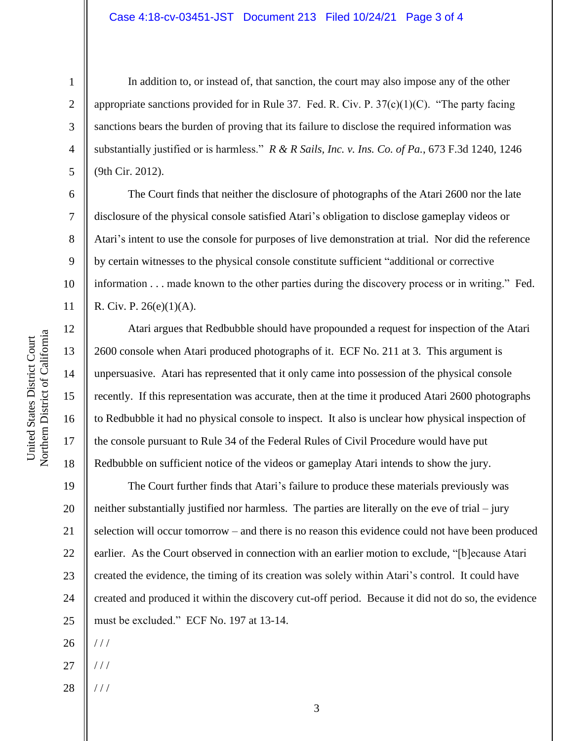## Case 4:18-cv-03451-JST Document 213 Filed 10/24/21 Page 3 of 4

In addition to, or instead of, that sanction, the court may also impose any of the other appropriate sanctions provided for in Rule 37. Fed. R. Civ. P.  $37(c)(1)(C)$ . "The party facing sanctions bears the burden of proving that its failure to disclose the required information was substantially justified or is harmless." *R & R Sails, Inc. v. Ins. Co. of Pa.*, 673 F.3d 1240, 1246 (9th Cir. 2012).

The Court finds that neither the disclosure of photographs of the Atari 2600 nor the late disclosure of the physical console satisfied Atari's obligation to disclose gameplay videos or Atari's intent to use the console for purposes of live demonstration at trial. Nor did the reference by certain witnesses to the physical console constitute sufficient "additional or corrective information . . . made known to the other parties during the discovery process or in writing." Fed. R. Civ. P. 26(e)(1)(A).

Atari argues that Redbubble should have propounded a request for inspection of the Atari 2600 console when Atari produced photographs of it. ECF No. 211 at 3. This argument is unpersuasive. Atari has represented that it only came into possession of the physical console recently. If this representation was accurate, then at the time it produced Atari 2600 photographs to Redbubble it had no physical console to inspect. It also is unclear how physical inspection of the console pursuant to Rule 34 of the Federal Rules of Civil Procedure would have put Redbubble on sufficient notice of the videos or gameplay Atari intends to show the jury.

19 20 21 22 23 24 25 The Court further finds that Atari's failure to produce these materials previously was neither substantially justified nor harmless. The parties are literally on the eve of trial – jury selection will occur tomorrow – and there is no reason this evidence could not have been produced earlier. As the Court observed in connection with an earlier motion to exclude, "[b]ecause Atari created the evidence, the timing of its creation was solely within Atari's control. It could have created and produced it within the discovery cut-off period. Because it did not do so, the evidence must be excluded." ECF No. 197 at 13-14.

- 26 / / /
- 27  $//$
- 28  $//$

1

2

3

4

5

6

7

8

9

10

11

12

13

14

15

16

17

18

3